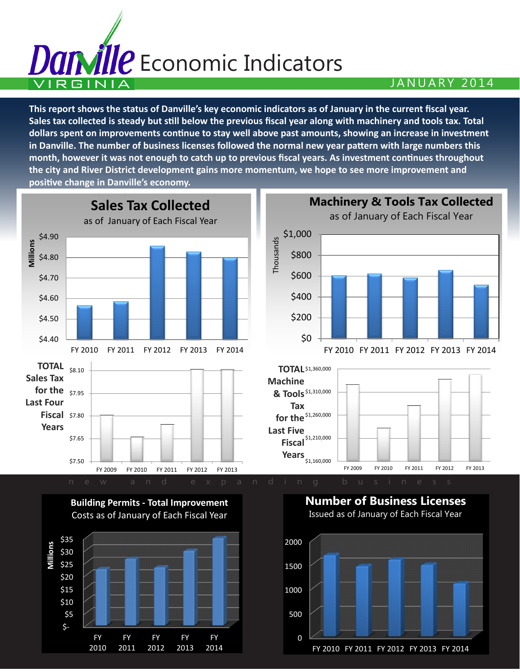## andile Economic Indicators  $\blacksquare$ VIRGINIA $\blacksquare$

**This report shows the status of Danville's key economic indicators as of January in the current fiscal year. Sales tax collected is steady but still below the previous fiscal year along with machinery and tools tax. Total dollars spent on improvements continue to stay well above past amounts, showing an increase in investment in Danville. The number of business licenses followed the normal new year pattern with large numbers this month, however it was not enough to catch up to previous fiscal years. As investment continues throughout the city and River District development gains more momentum, we hope to see more improvement and positive change in Danville's economy.**



0

500

 \$- \$5 \$10 FY 2010 FY 2011 FY 2012 FY 2013 FY 2014

FY 2010 FY 2011 FY 2012 FY 2013 FY 2014